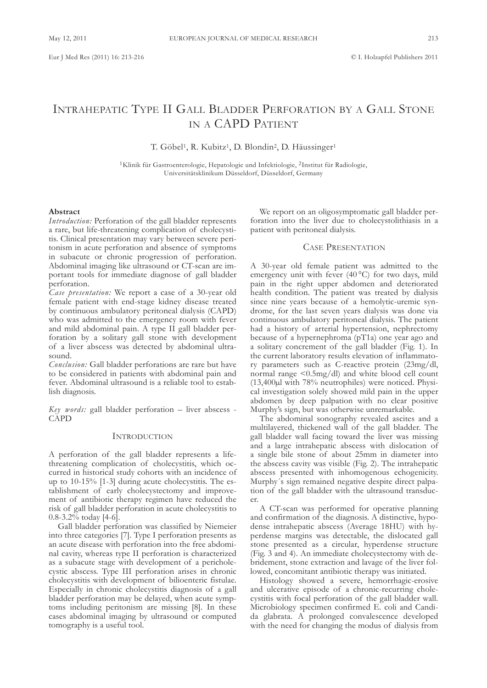# INTRAHEPATIC TYPE II GALL BLADDER PERFORATION BY A GALL STONE IN A CAPD PATIENT

T. Göbel<sup>1</sup>, R. Kubitz<sup>1</sup>, D. Blondin<sup>2</sup>, D. Häussinger<sup>1</sup>

<sup>1</sup>Klinik für Gastroenterologie, Hepatologie und Infektiologie, <sup>2</sup>Institut für Radiologie, Universitätsklinikum Düsseldorf, Düsseldorf, Germany

### **Abstract**

*Introduction:* Perforation of the gall bladder represents a rare, but life-threatening complication of cholecystitis. clinical presentation may vary between severe peritonism in acute perforation and absence of symptoms in subacute or chronic progression of perforation. Abdominal imaging like ultrasound or CT-scan are important tools for immediate diagnose of gall bladder perforation.

*Case presentation:* We report a case of a 30-year old female patient with end-stage kidney disease treated by continuous ambulatory peritoneal dialysis (CAPD) who was admitted to the emergency room with fever and mild abdominal pain. A type II gall bladder perforation by a solitary gall stone with development of a liver abscess was detected by abdominal ultrasound.

*Conclusion:* Gall bladder perforations are rare but have to be considered in patients with abdominal pain and fever. Abdominal ultrasound is a reliable tool to establish diagnosis.

*Key words:* gall bladder perforation – liver abscess - **CAPD** 

#### **INTRODUCTION**

a perforation of the gall bladder represents a lifethreatening complication of cholecystitis, which occurred in historical study cohorts with an incidence of up to 10-15% [1-3] during acute cholecystitis. The establishment of early cholecystectomy and improvement of antibiotic therapy regimen have reduced the risk of gall bladder perforation in acute cholecystitis to 0.8-3.2% today [4-6].

Gall bladder perforation was classified by Niemeier into three categories [7]. Type I perforation presents as an acute disease with perforation into the free abdominal cavity, whereas type II perforation is characterized as a subacute stage with development of a pericholecystic abscess. Type III perforation arises in chronic cholecystitis with development of bilioenteric fistulae. Especially in chronic cholecystitis diagnosis of a gall bladder perforation may be delayed, when acute symptoms including peritonism are missing [8]. In these cases abdominal imaging by ultrasound or computed tomography is a useful tool.

We report on an oligosymptomatic gall bladder perforation into the liver due to cholecystolithiasis in a patient with peritoneal dialysis.

# **CASE PRESENTATION**

a 30-year old female patient was admitted to the emergency unit with fever (40 °C) for two days, mild pain in the right upper abdomen and deteriorated health condition. The patient was treated by dialysis since nine years because of a hemolytic-uremic syndrome, for the last seven years dialysis was done via continuous ambulatory peritoneal dialysis. The patient had a history of arterial hypertension, nephrectomy because of a hypernephroma (pT1a) one year ago and a solitary concrement of the gall bladder (fig. 1). In the current laboratory results elevation of inflammatory parameters such as c-reactive protein (23mg/dl, normal range <0.5mg/dl) and white blood cell count (13,400µl with 78% neutrophiles) were noticed. Physical investigation solely showed mild pain in the upper abdomen by deep palpation with no clear positive Murphy's sign, but was otherwise unremarkable.

The abdominal sonography revealed ascites and a multilayered, thickened wall of the gall bladder. The gall bladder wall facing toward the liver was missing and a large intrahepatic abscess with dislocation of a single bile stone of about 25mm in diameter into the abscess cavity was visible (Fig. 2). The intrahepatic abscess presented with inhomogenous echogenicity. Murphy´s sign remained negative despite direct palpation of the gall bladder with the ultrasound transducer.

A CT-scan was performed for operative planning and confirmation of the diagnosis. A distinctive, hypodense intrahepatic abscess (Average 18HU) with hyperdense margins was detectable, the dislocated gall stone presented as a circular, hyperdense structure (Fig. 3 and 4). An immediate cholecystectomy with debridement, stone extraction and lavage of the liver followed, concomitant antibiotic therapy was initiated.

Histology showed a severe, hemorrhagic-erosive and ulcerative episode of a chronic-recurring cholecystitis with focal perforation of the gall bladder wall. Microbiology specimen confirmed E. coli and candida glabrata. a prolonged convalescence developed with the need for changing the modus of dialysis from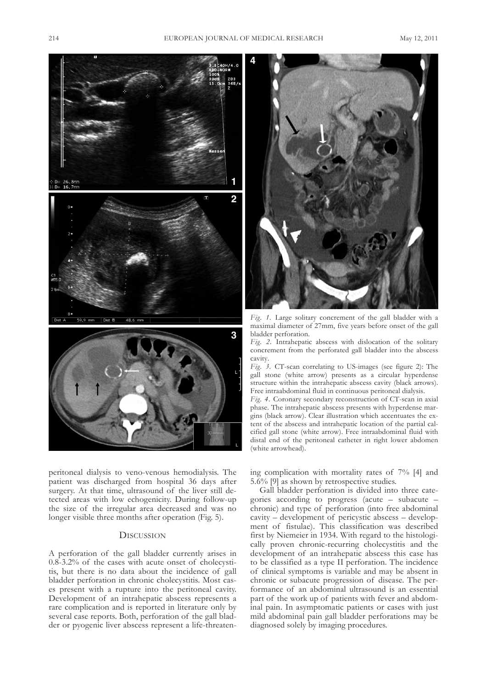

peritoneal dialysis to veno-venous hemodialysis. The patient was discharged from hospital 36 days after surgery. At that time, ultrasound of the liver still detected areas with low echogenicity. During follow-up the size of the irregular area decreased and was no longer visible three months after operation (Fig. 5).

## **DISCUSSION**

a perforation of the gall bladder currently arises in 0.8-3.2% of the cases with acute onset of cholecystitis, but there is no data about the incidence of gall bladder perforation in chronic cholecystitis. Most cases present with a rupture into the peritoneal cavity. Development of an intrahepatic abscess represents a rare complication and is reported in literature only by several case reports. Both, perforation of the gall bladder or pyogenic liver abscess represent a life-threaten-



*Fig. 1.* large solitary concrement of the gall bladder with a maximal diameter of 27mm, five years before onset of the gall bladder perforation.

*Fig. 2.* Intrahepatic abscess with dislocation of the solitary concrement from the perforated gall bladder into the abscess cavity.

*Fig.* 3. CT-scan correlating to US-images (see figure 2): The gall stone (white arrow) presents as a circular hyperdense structure within the intrahepatic abscess cavity (black arrows). free intraabdominal fluid in continuous peritoneal dialysis.

Fig. 4. Coronary secondary reconstruction of CT-scan in axial phase. The intrahepatic abscess presents with hyperdense margins (black arrow). clear illustration which accentuates the extent of the abscess and intrahepatic location of the partial calcified gall stone (white arrow). free intraabdominal fluid with distal end of the peritoneal catheter in right lower abdomen (white arrowhead).

ing complication with mortality rates of 7% [4] and 5.6% [9] as shown by retrospective studies.

Gall bladder perforation is divided into three categories according to progress (acute – subacute – chronic) and type of perforation (into free abdominal cavity – development of pericystic abscess – development of fistulae). This classification was described first by Niemeier in 1934. With regard to the histologically proven chronic-recurring cholecystitis and the development of an intrahepatic abscess this case has to be classified as a type II perforation. The incidence of clinical symptoms is variable and may be absent in chronic or subacute progression of disease. The performance of an abdominal ultrasound is an essential part of the work up of patients with fever and abdominal pain. In asymptomatic patients or cases with just mild abdominal pain gall bladder perforations may be diagnosed solely by imaging procedures.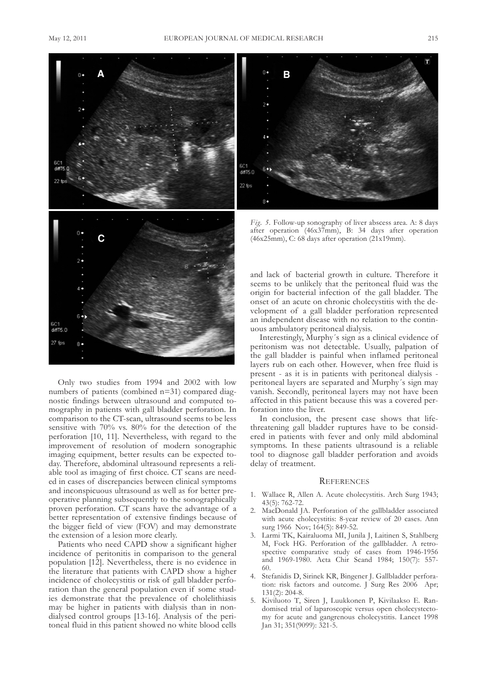

Only two studies from 1994 and 2002 with low numbers of patients (combined n=31) compared diagnostic findings between ultrasound and computed tomography in patients with gall bladder perforation. In comparison to the CT-scan, ultrasound seems to be less sensitive with 70% vs. 80% for the detection of the perforation [10, 11]. nevertheless, with regard to the improvement of resolution of modern sonographic imaging equipment, better results can be expected today. Therefore, abdominal ultrasound represents a reliable tool as imaging of first choice. CT scans are needed in cases of discrepancies between clinical symptoms and inconspicuous ultrasound as well as for better preoperative planning subsequently to the sonographically proven perforation. CT scans have the advantage of a better representation of extensive findings because of the bigger field of view (FOV) and may demonstrate the extension of a lesion more clearly.

Patients who need CAPD show a significant higher incidence of peritonitis in comparison to the general population [12]. nevertheless, there is no evidence in the literature that patients with CAPD show a higher incidence of cholecystitis or risk of gall bladder perforation than the general population even if some studies demonstrate that the prevalence of cholelithiasis may be higher in patients with dialysis than in nondialysed control groups [13-16]. Analysis of the peritoneal fluid in this patient showed no white blood cells



*Fig. 5.* follow-up sonography of liver abscess area. a: 8 days after operation (46x37mm), B: 34 days after operation  $(46x25mm)$ , C:  $68 \text{ days after operation}$  (21x19mm).

and lack of bacterial growth in culture. Therefore it seems to be unlikely that the peritoneal fluid was the origin for bacterial infection of the gall bladder. The onset of an acute on chronic cholecystitis with the development of a gall bladder perforation represented an independent disease with no relation to the continuous ambulatory peritoneal dialysis.

Interestingly, Murphy´s sign as a clinical evidence of peritonism was not detectable. Usually, palpation of the gall bladder is painful when inflamed peritoneal layers rub on each other. However, when free fluid is present - as it is in patients with peritoneal dialysis peritoneal layers are separated and Murphy´s sign may vanish. Secondly, peritoneal layers may not have been affected in this patient because this was a covered perforation into the liver.

In conclusion, the present case shows that lifethreatening gall bladder ruptures have to be considered in patients with fever and only mild abdominal symptoms. In these patients ultrasound is a reliable tool to diagnose gall bladder perforation and avoids delay of treatment.

#### **REFERENCES**

- 1. Wallace R, Allen A. Acute cholecystitis. Arch Surg 1943; 43(5): 762-72.
- 2. MacDonald JA. Perforation of the gallbladder associated with acute cholecystitis: 8-year review of 20 cases. Ann surg 1966 Nov; 164(5): 849-52.
- 3. larmi tK, Kairaluoma MI, Junila J, laitinen S, Stahlberg M, Fock HG. Perforation of the gallbladder. A retrospective comparative study of cases from 1946-1956 and 1969-1980. acta chir Scand 1984; 150(7): 557- 60.
- 4. Stefanidis D, Sirinek KR, Bingener J. Gallbladder perforation: risk factors and outcome. J Surg Res 2006 Apr; 131(2): 204-8.
- 5. Kiviluoto T, Siren J, Luukkonen P, Kivilaakso E. Randomised trial of laparoscopic versus open cholecystectomy for acute and gangrenous cholecystitis. lancet 1998 Jan 31; 351(9099): 321-5.